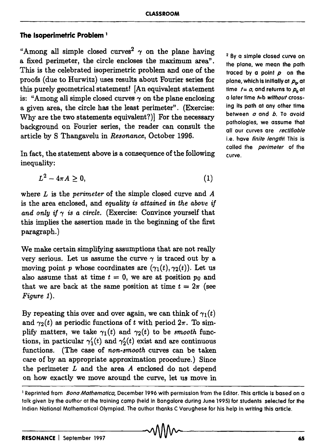## **The Isoperimetric Problem 1**

"Among all simple closed curves<sup>2</sup>  $\gamma$  on the plane having a fixed perimeter, the circle encloses the maximum area". This is the celebrated isoperimetric problem and one of the proofs (due to Hurwitz) uses results about Fourier series for this purely geometrical statement! [An equivalent statement is: "Among all simple closed curves  $\gamma$  on the plane enclosing a given area, the circle has the least perimeter". (Exercise: Why are the two statements equivalent?)] For the necessary background on Fourier series, the reader can consult the article by S Thangavelu in *Resonance,* October 1996.

In fact, the statement above is a consequence of the following inequality:

$$
L^2 - 4\pi A \geq 0,\tag{1}
$$

where *L* is the *perimeter* of the simple closed curve and *A*  is the area enclosed, and *equality is attained in the above if*  and only if  $\gamma$  is a circle. (Exercise: Convince yourself that this implies the assertion made in the beginning of the first paragraph. )

We make certain simplifying assumptions that are not really very serious. Let us assume the curve  $\gamma$  is traced out by a moving point *p* whose coordinates are  $(\gamma_1(t), \gamma_2(t))$ . Let us also assume that at time  $t = 0$ , we are at position  $p_0$  and that we are back at the same position at time  $t = 2\pi$  (see *Figure* 1).

By repeating this over and over again, we can think of  $\gamma_1(t)$ and  $\gamma_2(t)$  as periodic functions of t with period  $2\pi$ . To simplify matters, we take  $\gamma_1(t)$  and  $\gamma_2(t)$  to be *smooth* functions, in particular  $\gamma_1'(t)$  and  $\gamma_2'(t)$  exist and are continuous functions. (The case of *non-smooth* curves can be taken care of by an appropriate approximation procedure.) Since the perimeter *L* and the area *A* enclosed do not depend on how exactly we move around the curve, let us move in

2 By a simple closed curve on the plane, we mean the path traced by a point  $p$  on the plane, which is initially at  $p_{\alpha}$  at time  $t = a$ , and returns to  $p_0$  at a later time  $\textit{t}=b$  without crossing its path at any other time between *a* and *b.* To avoid pathologies, we assume that all our curves are rectifiable i.e. have *finite lenath*! This is called the *perimeter* of the curve.

<sup>&</sup>lt;sup>1</sup> Reprinted from *Bona Mathematica*, December 1996 with permission from the Editor. This article is based on a talk given by the author at the training camp (held in Bangalore during June 1995) for students selected for the Indian National Mathematical Olympiad. The author thanks C Varughese for his help in writing this article.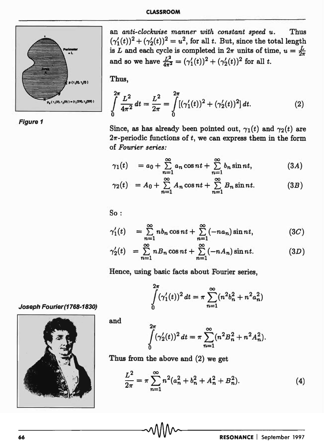

Figure 1



Thus,

$$
\int_{0}^{2\pi} \frac{L^2}{4\pi^2} dt = \frac{L^2}{2\pi} = \int_{0}^{2\pi} [(\gamma_1'(t))^2 + (\gamma_2'(t))^2] dt.
$$
 (2)

Since, as has already been pointed out,  $\gamma_1(t)$  and  $\gamma_2(t)$  are  $2\pi$ -periodic functions of  $t$ , we can express them in the form of *Fourier series:* 

$$
\gamma_1(t) = a_0 + \sum_{n=1}^{\infty} a_n \cos nt + \sum_{n=1}^{\infty} b_n \sin nt, \qquad (3A)
$$

$$
\gamma_2(t) = A_0 + \sum_{n=1}^{\infty} A_n \cos nt + \sum_{n=1}^{\infty} B_n \sin nt. \tag{3B}
$$

So:

$$
\gamma_1'(t) = \sum_{n=1}^{\infty} nb_n \cos nt + \sum_{n=1}^{\infty} (-na_n) \sin nt, \qquad (3C)
$$

$$
\gamma_2'(t) = \sum_{n=1}^{\infty} n B_n \cos nt + \sum_{n=1}^{\infty} (-n A_n) \sin nt. \tag{3D}
$$

Hence, using basic facts about Fourier series,

$$
\int_{0}^{2\pi} (\gamma_1'(t))^2 dt = \pi \sum_{n=1}^{\infty} (n^2 b_n^2 + n^2 a_n^2)
$$

Joseph Fourier(1768-1830)



and

$$
\int_{0}^{2\pi} (\gamma_2'(t))^2 dt = \pi \sum_{n=1}^{\infty} (n^2 B_n^2 + n^2 A_n^2).
$$

Thus from the above and (2) we get

$$
\frac{L^2}{2\pi} = \pi \sum_{n=1}^{\infty} n^2 (a_n^2 + b_n^2 + A_n^2 + B_n^2).
$$
 (4)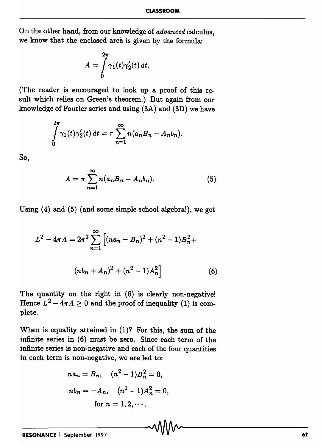On the other hand, from our knowledge of *advanced* calculus, we know that the enclosed area is given by the formula:

$$
A = \int\limits_0^{2\pi} \gamma_1(t)\gamma_2'(t)\,dt.
$$

(The reader is encouraged to look up a proof of this result which relies on Green's theorem.) But again from our knowledge of Fourier series and using (3A) and (3D) we have

$$
\int_{0}^{2\pi} \gamma_1(t)\gamma_2'(t) dt = \pi \sum_{n=1}^{\infty} n(a_nB_n - A_nb_n).
$$

So,

$$
A = \pi \sum_{n=1}^{\infty} n(a_n B_n - A_n b_n).
$$
 (5)

Using (4) and (5) (and some simple school algebra!), we get

$$
L^{2} - 4\pi A = 2\pi^{2} \sum_{n=1}^{\infty} \left[ (na_{n} - B_{n})^{2} + (n^{2} - 1)B_{n}^{2} + (nb_{n} + A_{n})^{2} + (n^{2} - 1)A_{n}^{2} \right]
$$
(6)

The quantity on the right in (6) is clearly non-negative! Hence  $L^2 - 4\pi A \ge 0$  and the proof of inequality (1) is complete.

When is equality attained in (I)? For this, the sum of the infinite series in (6) must be zero. Since each term of the infinite series is non-negative and each of the four quantities in each term is non-negative, we are led to:

$$
na_n = B_n, \quad (n^2 - 1)B_n^2 = 0,
$$
  
\n
$$
nb_n = -A_n, \quad (n^2 - 1)A_n^2 = 0,
$$
  
\nfor  $n = 1, 2, \cdots$ .